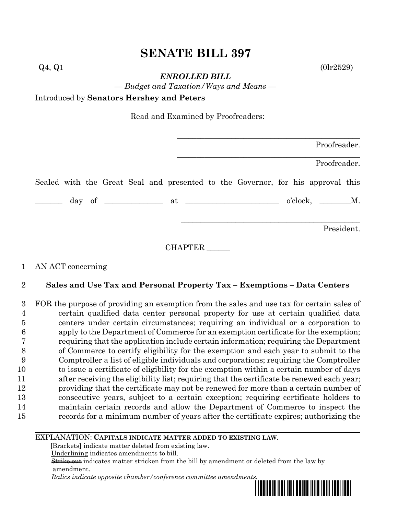# **SENATE BILL 397**

*ENROLLED BILL*

*— Budget and Taxation/Ways and Means —*

Introduced by **Senators Hershey and Peters**

Read and Examined by Proofreaders:

|  |  |  | Proofreader. |                                                                                 |  |  |  |  |             |              |  |
|--|--|--|--------------|---------------------------------------------------------------------------------|--|--|--|--|-------------|--------------|--|
|  |  |  |              |                                                                                 |  |  |  |  |             | Proofreader. |  |
|  |  |  |              | Sealed with the Great Seal and presented to the Governor, for his approval this |  |  |  |  |             |              |  |
|  |  |  |              |                                                                                 |  |  |  |  | o'clock, M. |              |  |
|  |  |  |              |                                                                                 |  |  |  |  |             | President.   |  |

CHAPTER

## 1 AN ACT concerning

## 2 **Sales and Use Tax and Personal Property Tax – Exemptions – Data Centers**

 FOR the purpose of providing an exemption from the sales and use tax for certain sales of certain qualified data center personal property for use at certain qualified data centers under certain circumstances; requiring an individual or a corporation to apply to the Department of Commerce for an exemption certificate for the exemption; requiring that the application include certain information; requiring the Department of Commerce to certify eligibility for the exemption and each year to submit to the Comptroller a list of eligible individuals and corporations; requiring the Comptroller to issue a certificate of eligibility for the exemption within a certain number of days after receiving the eligibility list; requiring that the certificate be renewed each year; providing that the certificate may not be renewed for more than a certain number of consecutive years, subject to a certain exception; requiring certificate holders to maintain certain records and allow the Department of Commerce to inspect the records for a minimum number of years after the certificate expires; authorizing the

#### EXPLANATION: **CAPITALS INDICATE MATTER ADDED TO EXISTING LAW**.

 **[**Brackets**]** indicate matter deleted from existing law.

Underlining indicates amendments to bill.

 Strike out indicates matter stricken from the bill by amendment or deleted from the law by amendment.

 *Italics indicate opposite chamber/conference committee amendments.*



 $Q_4, Q_1$  (0lr2529)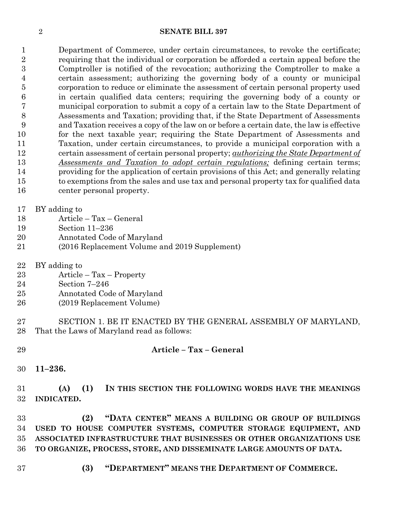#### **SENATE BILL 397**

 Department of Commerce, under certain circumstances, to revoke the certificate; requiring that the individual or corporation be afforded a certain appeal before the Comptroller is notified of the revocation; authorizing the Comptroller to make a certain assessment; authorizing the governing body of a county or municipal corporation to reduce or eliminate the assessment of certain personal property used in certain qualified data centers; requiring the governing body of a county or municipal corporation to submit a copy of a certain law to the State Department of Assessments and Taxation; providing that, if the State Department of Assessments and Taxation receives a copy of the law on or before a certain date, the law is effective for the next taxable year; requiring the State Department of Assessments and Taxation, under certain circumstances, to provide a municipal corporation with a certain assessment of certain personal property; *authorizing the State Department of Assessments and Taxation to adopt certain regulations;* defining certain terms; providing for the application of certain provisions of this Act; and generally relating to exemptions from the sales and use tax and personal property tax for qualified data center personal property.

BY adding to

- Article Tax General
- Section 11–236
- Annotated Code of Maryland
- (2016 Replacement Volume and 2019 Supplement)
- BY adding to
- Article Tax Property
- Section 7–246
- Annotated Code of Maryland
- (2019 Replacement Volume)
- SECTION 1. BE IT ENACTED BY THE GENERAL ASSEMBLY OF MARYLAND, That the Laws of Maryland read as follows:

### **Article – Tax – General**

**11–236.**

 **(A) (1) IN THIS SECTION THE FOLLOWING WORDS HAVE THE MEANINGS INDICATED.**

 **(2) "DATA CENTER" MEANS A BUILDING OR GROUP OF BUILDINGS USED TO HOUSE COMPUTER SYSTEMS, COMPUTER STORAGE EQUIPMENT, AND ASSOCIATED INFRASTRUCTURE THAT BUSINESSES OR OTHER ORGANIZATIONS USE TO ORGANIZE, PROCESS, STORE, AND DISSEMINATE LARGE AMOUNTS OF DATA.**

- 
- **(3) "DEPARTMENT" MEANS THE DEPARTMENT OF COMMERCE.**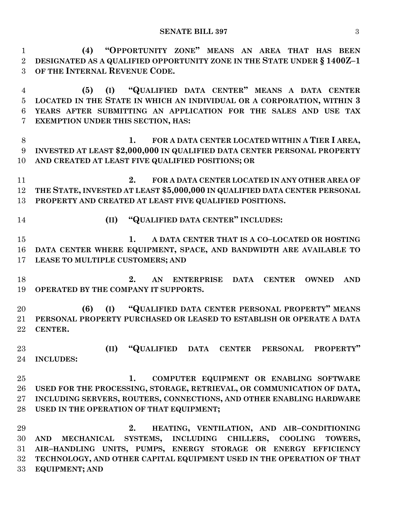**(4) "OPPORTUNITY ZONE" MEANS AN AREA THAT HAS BEEN DESIGNATED AS A QUALIFIED OPPORTUNITY ZONE IN THE STATE UNDER § 1400Z–1 OF THE INTERNAL REVENUE CODE.**

 **(5) (I) "QUALIFIED DATA CENTER" MEANS A DATA CENTER LOCATED IN THE STATE IN WHICH AN INDIVIDUAL OR A CORPORATION, WITHIN 3 YEARS AFTER SUBMITTING AN APPLICATION FOR THE SALES AND USE TAX EXEMPTION UNDER THIS SECTION, HAS:**

 **1. FOR A DATA CENTER LOCATED WITHIN A TIER I AREA, INVESTED AT LEAST \$2,000,000 IN QUALIFIED DATA CENTER PERSONAL PROPERTY AND CREATED AT LEAST FIVE QUALIFIED POSITIONS; OR**

 **2. FOR A DATA CENTER LOCATED IN ANY OTHER AREA OF THE STATE, INVESTED AT LEAST \$5,000,000 IN QUALIFIED DATA CENTER PERSONAL PROPERTY AND CREATED AT LEAST FIVE QUALIFIED POSITIONS.**

**(II) "QUALIFIED DATA CENTER" INCLUDES:**

 **1. A DATA CENTER THAT IS A CO–LOCATED OR HOSTING DATA CENTER WHERE EQUIPMENT, SPACE, AND BANDWIDTH ARE AVAILABLE TO LEASE TO MULTIPLE CUSTOMERS; AND**

 **2. AN ENTERPRISE DATA CENTER OWNED AND OPERATED BY THE COMPANY IT SUPPORTS.**

 **(6) (I) "QUALIFIED DATA CENTER PERSONAL PROPERTY" MEANS PERSONAL PROPERTY PURCHASED OR LEASED TO ESTABLISH OR OPERATE A DATA CENTER.**

 **(II) "QUALIFIED DATA CENTER PERSONAL PROPERTY" INCLUDES:**

 **1. COMPUTER EQUIPMENT OR ENABLING SOFTWARE USED FOR THE PROCESSING, STORAGE, RETRIEVAL, OR COMMUNICATION OF DATA, INCLUDING SERVERS, ROUTERS, CONNECTIONS, AND OTHER ENABLING HARDWARE USED IN THE OPERATION OF THAT EQUIPMENT;**

 **2. HEATING, VENTILATION, AND AIR–CONDITIONING AND MECHANICAL SYSTEMS, INCLUDING CHILLERS, COOLING TOWERS, AIR–HANDLING UNITS, PUMPS, ENERGY STORAGE OR ENERGY EFFICIENCY TECHNOLOGY, AND OTHER CAPITAL EQUIPMENT USED IN THE OPERATION OF THAT EQUIPMENT; AND**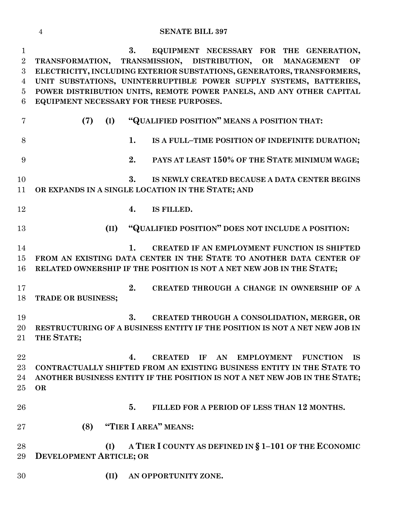#### **SENATE BILL 397**

 **3. EQUIPMENT NECESSARY FOR THE GENERATION, TRANSFORMATION, TRANSMISSION, DISTRIBUTION, OR MANAGEMENT OF ELECTRICITY, INCLUDING EXTERIOR SUBSTATIONS, GENERATORS, TRANSFORMERS, UNIT SUBSTATIONS, UNINTERRUPTIBLE POWER SUPPLY SYSTEMS, BATTERIES, POWER DISTRIBUTION UNITS, REMOTE POWER PANELS, AND ANY OTHER CAPITAL EQUIPMENT NECESSARY FOR THESE PURPOSES. (7) (I) "QUALIFIED POSITION" MEANS A POSITION THAT: 1. IS A FULL–TIME POSITION OF INDEFINITE DURATION; 2. PAYS AT LEAST 150% OF THE STATE MINIMUM WAGE; 3. IS NEWLY CREATED BECAUSE A DATA CENTER BEGINS OR EXPANDS IN A SINGLE LOCATION IN THE STATE; AND 4. IS FILLED. (II) "QUALIFIED POSITION" DOES NOT INCLUDE A POSITION: 1. CREATED IF AN EMPLOYMENT FUNCTION IS SHIFTED FROM AN EXISTING DATA CENTER IN THE STATE TO ANOTHER DATA CENTER OF RELATED OWNERSHIP IF THE POSITION IS NOT A NET NEW JOB IN THE STATE; 2. CREATED THROUGH A CHANGE IN OWNERSHIP OF A TRADE OR BUSINESS; 3. CREATED THROUGH A CONSOLIDATION, MERGER, OR RESTRUCTURING OF A BUSINESS ENTITY IF THE POSITION IS NOT A NET NEW JOB IN THE STATE; 4. CREATED IF AN EMPLOYMENT FUNCTION IS CONTRACTUALLY SHIFTED FROM AN EXISTING BUSINESS ENTITY IN THE STATE TO ANOTHER BUSINESS ENTITY IF THE POSITION IS NOT A NET NEW JOB IN THE STATE; OR 5. FILLED FOR A PERIOD OF LESS THAN 12 MONTHS. (8) "TIER I AREA" MEANS: (I) A TIER I COUNTY AS DEFINED IN § 1–101 OF THE ECONOMIC DEVELOPMENT ARTICLE; OR (II) AN OPPORTUNITY ZONE.**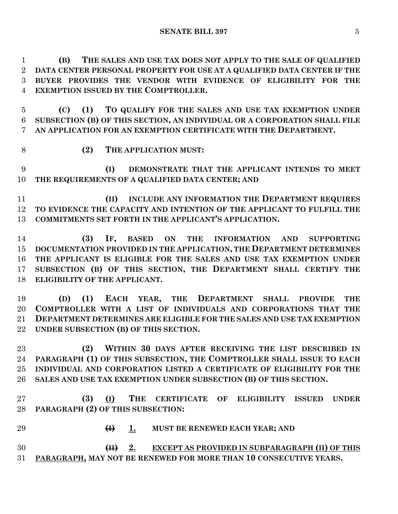**(B) THE SALES AND USE TAX DOES NOT APPLY TO THE SALE OF QUALIFIED DATA CENTER PERSONAL PROPERTY FOR USE AT A QUALIFIED DATA CENTER IF THE BUYER PROVIDES THE VENDOR WITH EVIDENCE OF ELIGIBILITY FOR THE EXEMPTION ISSUED BY THE COMPTROLLER.**

 **(C) (1) TO QUALIFY FOR THE SALES AND USE TAX EXEMPTION UNDER SUBSECTION (B) OF THIS SECTION, AN INDIVIDUAL OR A CORPORATION SHALL FILE AN APPLICATION FOR AN EXEMPTION CERTIFICATE WITH THE DEPARTMENT.**

**(2) THE APPLICATION MUST:**

 **(I) DEMONSTRATE THAT THE APPLICANT INTENDS TO MEET THE REQUIREMENTS OF A QUALIFIED DATA CENTER; AND**

 **(II) INCLUDE ANY INFORMATION THE DEPARTMENT REQUIRES TO EVIDENCE THE CAPACITY AND INTENTION OF THE APPLICANT TO FULFILL THE COMMITMENTS SET FORTH IN THE APPLICANT'S APPLICATION.**

 **(3) IF, BASED ON THE INFORMATION AND SUPPORTING DOCUMENTATION PROVIDED IN THE APPLICATION, THE DEPARTMENT DETERMINES THE APPLICANT IS ELIGIBLE FOR THE SALES AND USE TAX EXEMPTION UNDER SUBSECTION (B) OF THIS SECTION, THE DEPARTMENT SHALL CERTIFY THE ELIGIBILITY OF THE APPLICANT.**

 **(D) (1) EACH YEAR, THE DEPARTMENT SHALL PROVIDE THE COMPTROLLER WITH A LIST OF INDIVIDUALS AND CORPORATIONS THAT THE DEPARTMENT DETERMINES ARE ELIGIBLE FOR THE SALES AND USE TAX EXEMPTION UNDER SUBSECTION (B) OF THIS SECTION.**

 **(2) WITHIN 30 DAYS AFTER RECEIVING THE LIST DESCRIBED IN PARAGRAPH (1) OF THIS SUBSECTION, THE COMPTROLLER SHALL ISSUE TO EACH INDIVIDUAL AND CORPORATION LISTED A CERTIFICATE OF ELIGIBILITY FOR THE SALES AND USE TAX EXEMPTION UNDER SUBSECTION (B) OF THIS SECTION.**

 **(3) (I) THE CERTIFICATE OF ELIGIBILITY ISSUED UNDER PARAGRAPH (2) OF THIS SUBSECTION:**

 **(I) 1. MUST BE RENEWED EACH YEAR; AND (II) 2. EXCEPT AS PROVIDED IN SUBPARAGRAPH (II) OF THIS** 

**PARAGRAPH, MAY NOT BE RENEWED FOR MORE THAN 10 CONSECUTIVE YEARS.**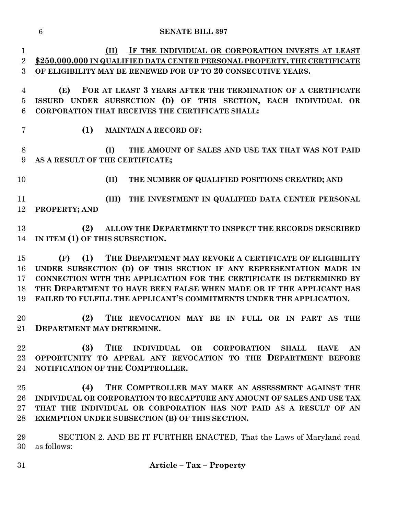**(II) IF THE INDIVIDUAL OR CORPORATION INVESTS AT LEAST \$250,000,000 IN QUALIFIED DATA CENTER PERSONAL PROPERTY, THE CERTIFICATE OF ELIGIBILITY MAY BE RENEWED FOR UP TO 20 CONSECUTIVE YEARS. (E) FOR AT LEAST 3 YEARS AFTER THE TERMINATION OF A CERTIFICATE ISSUED UNDER SUBSECTION (D) OF THIS SECTION, EACH INDIVIDUAL OR CORPORATION THAT RECEIVES THE CERTIFICATE SHALL: (1) MAINTAIN A RECORD OF: (I) THE AMOUNT OF SALES AND USE TAX THAT WAS NOT PAID AS A RESULT OF THE CERTIFICATE; (II) THE NUMBER OF QUALIFIED POSITIONS CREATED; AND (III) THE INVESTMENT IN QUALIFIED DATA CENTER PERSONAL PROPERTY; AND (2) ALLOW THE DEPARTMENT TO INSPECT THE RECORDS DESCRIBED IN ITEM (1) OF THIS SUBSECTION. (F) (1) THE DEPARTMENT MAY REVOKE A CERTIFICATE OF ELIGIBILITY UNDER SUBSECTION (D) OF THIS SECTION IF ANY REPRESENTATION MADE IN CONNECTION WITH THE APPLICATION FOR THE CERTIFICATE IS DETERMINED BY THE DEPARTMENT TO HAVE BEEN FALSE WHEN MADE OR IF THE APPLICANT HAS FAILED TO FULFILL THE APPLICANT'S COMMITMENTS UNDER THE APPLICATION. (2) THE REVOCATION MAY BE IN FULL OR IN PART AS THE DEPARTMENT MAY DETERMINE. (3) THE INDIVIDUAL OR CORPORATION SHALL HAVE AN OPPORTUNITY TO APPEAL ANY REVOCATION TO THE DEPARTMENT BEFORE NOTIFICATION OF THE COMPTROLLER. (4) THE COMPTROLLER MAY MAKE AN ASSESSMENT AGAINST THE INDIVIDUAL OR CORPORATION TO RECAPTURE ANY AMOUNT OF SALES AND USE TAX THAT THE INDIVIDUAL OR CORPORATION HAS NOT PAID AS A RESULT OF AN EXEMPTION UNDER SUBSECTION (B) OF THIS SECTION.** SECTION 2. AND BE IT FURTHER ENACTED, That the Laws of Maryland read as follows: **Article – Tax – Property**